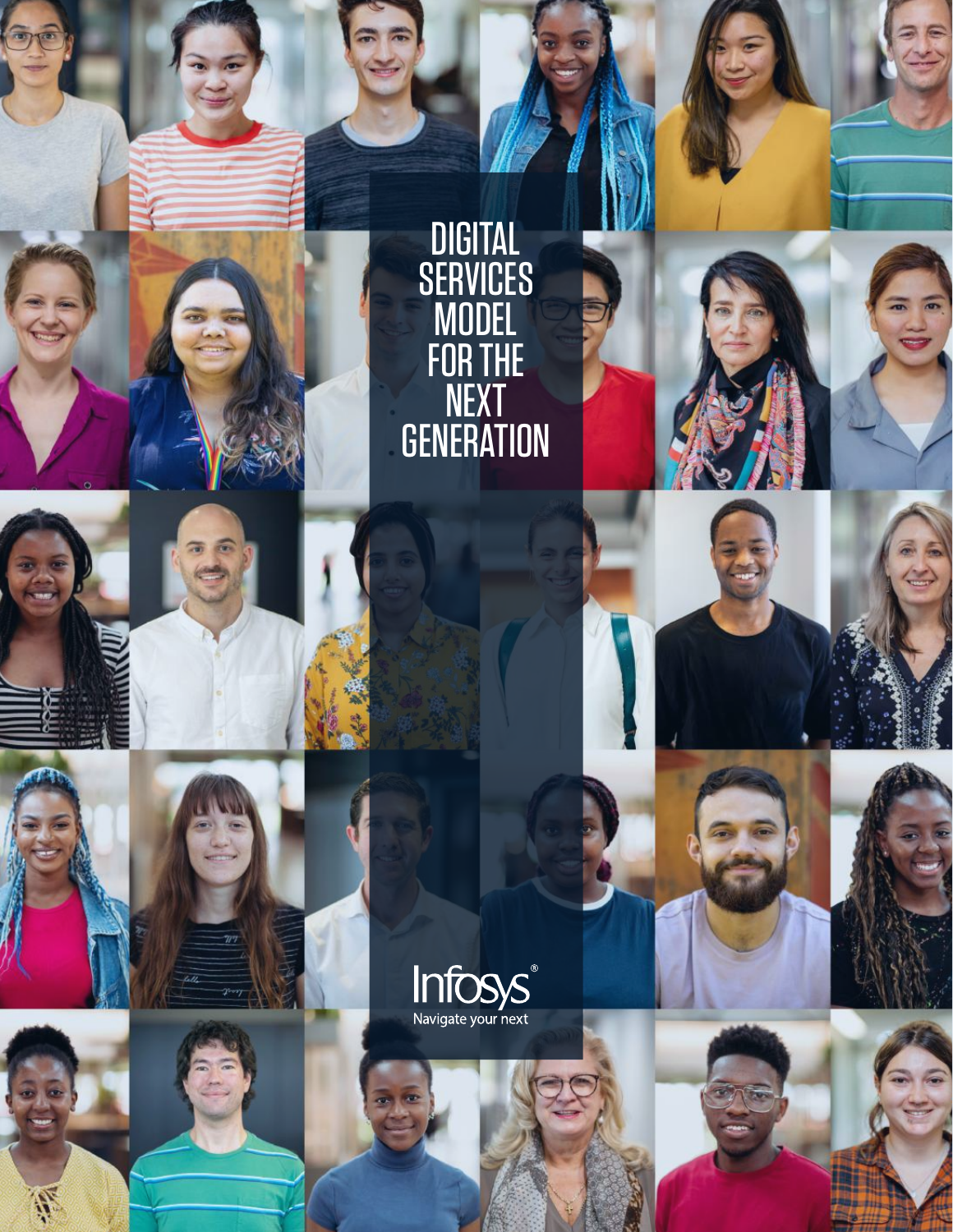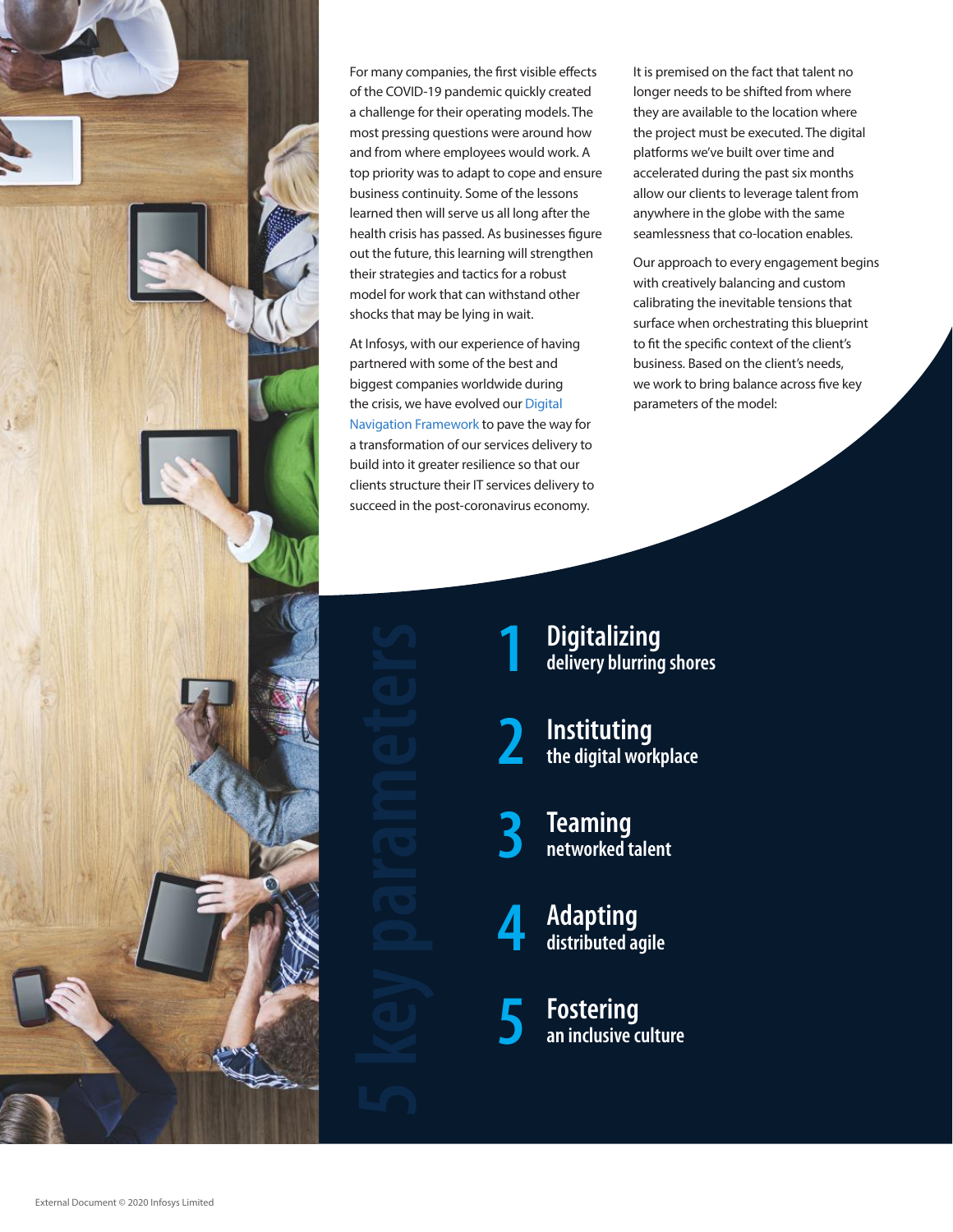

For many companies, the first visible effects of the COVID-19 pandemic quickly created a challenge for their operating models. The most pressing questions were around how and from where employees would work. A top priority was to adapt to cope and ensure business continuity. Some of the lessons learned then will serve us all long after the health crisis has passed. As businesses figure out the future, this learning will strengthen their strategies and tactics for a robust model for work that can withstand other shocks that may be lying in wait.

At Infosys, with our experience of having partnered with some of the best and biggest companies worldwide during the crisis, we have evolved our [Digital](https://www.infosys.com/navigate-your-next.html)  [Navigation Framework](https://www.infosys.com/navigate-your-next.html) to pave the way for a transformation of our services delivery to build into it greater resilience so that our clients structure their IT services delivery to succeed in the post-coronavirus economy.

It is premised on the fact that talent no longer needs to be shifted from where they are available to the location where the project must be executed. The digital platforms we've built over time and accelerated during the past six months allow our clients to leverage talent from anywhere in the globe with the same seamlessness that co-location enables.

Our approach to every engagement begins with creatively balancing and custom calibrating the inevitable tensions that surface when orchestrating this blueprint to fit the specific context of the client's business. Based on the client's needs, we work to bring balance across five key parameters of the model:

**Digitalizing 1 delivery blurring shores**

**Instituting 2 the digital workplace**

**Teaming 3 networked talent**

**Adapting 4 distributed agile**

**Fostering 5 an inclusive culture**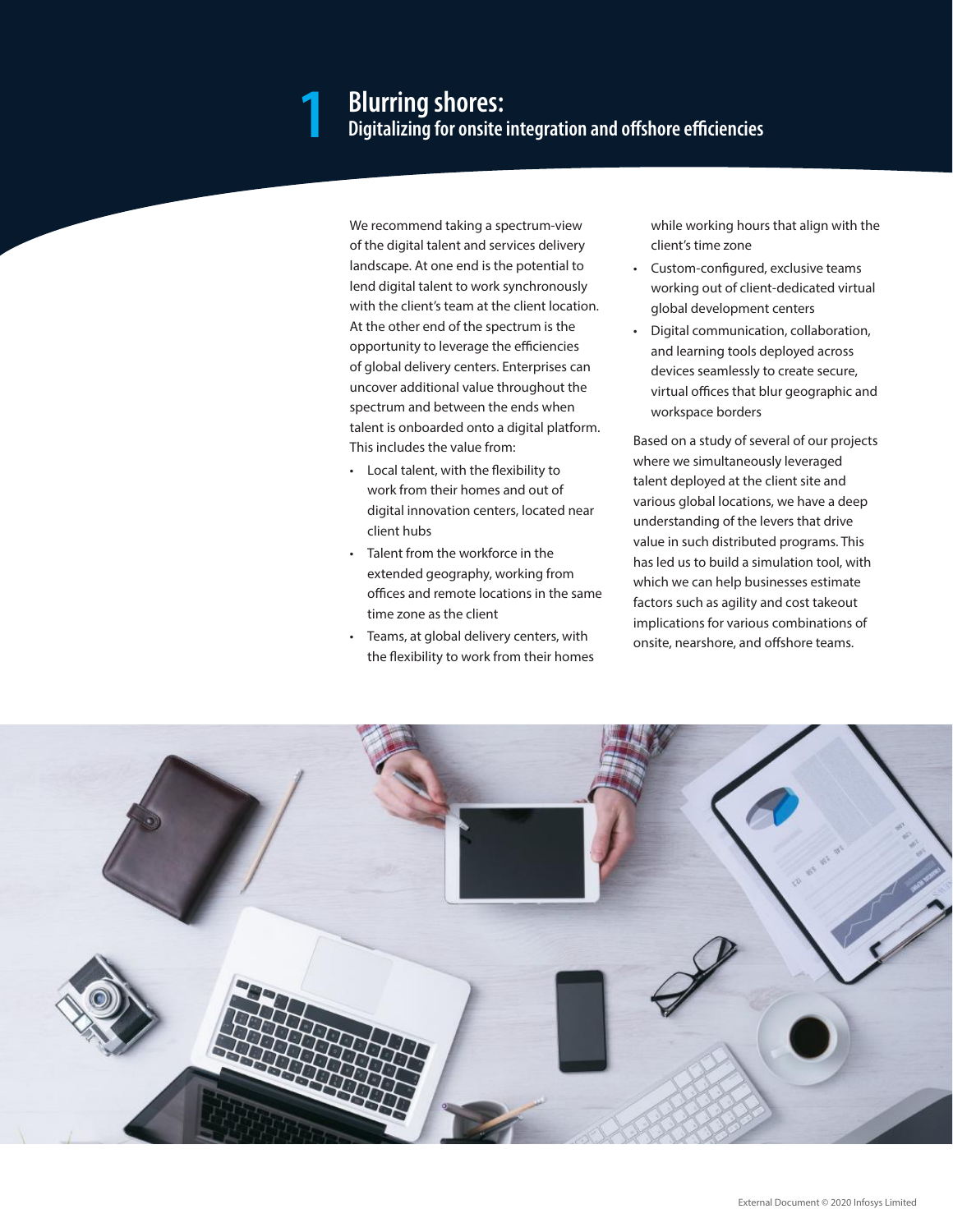## **Blurring shores: 1 Digitalizing for onsite integration and offshore efficiencies**

We recommend taking a spectrum-view of the digital talent and services delivery landscape. At one end is the potential to lend digital talent to work synchronously with the client's team at the client location. At the other end of the spectrum is the opportunity to leverage the efficiencies of global delivery centers. Enterprises can uncover additional value throughout the spectrum and between the ends when talent is onboarded onto a digital platform. This includes the value from:

- • Local talent, with the flexibility to work from their homes and out of digital innovation centers, located near client hubs
- • Talent from the workforce in the extended geography, working from offices and remote locations in the same time zone as the client
- Teams, at global delivery centers, with the flexibility to work from their homes

while working hours that align with the client's time zone

- • Custom-configured, exclusive teams working out of client-dedicated virtual global development centers
- • Digital communication, collaboration, and learning tools deployed across devices seamlessly to create secure, virtual offices that blur geographic and workspace borders

Based on a study of several of our projects where we simultaneously leveraged talent deployed at the client site and various global locations, we have a deep understanding of the levers that drive value in such distributed programs. This has led us to build a simulation tool, with which we can help businesses estimate factors such as agility and cost takeout implications for various combinations of onsite, nearshore, and offshore teams.

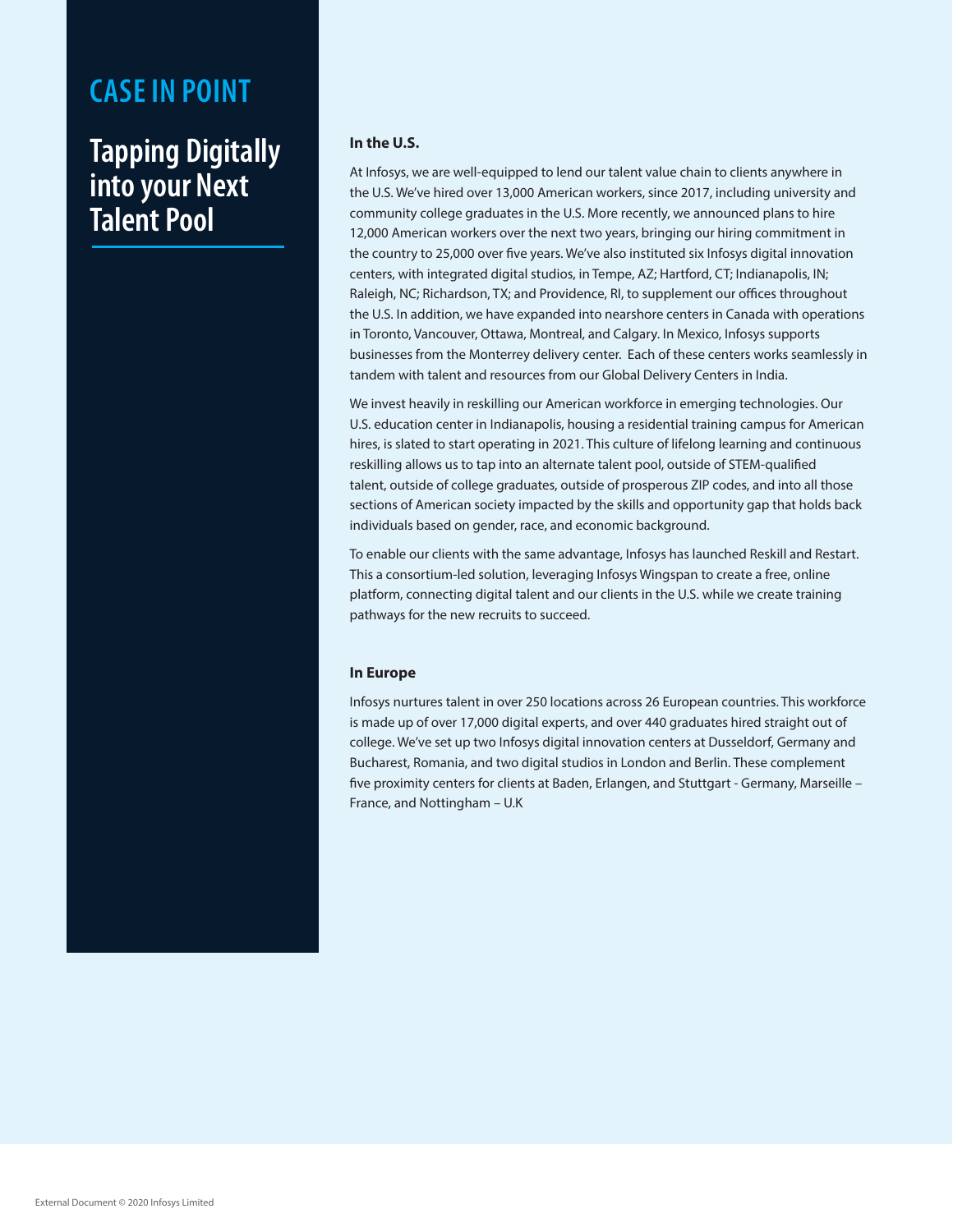#### **Tapping Digitally into your Next Talent Pool**

#### **In the U.S.**

At Infosys, we are well-equipped to lend our talent value chain to clients anywhere in the U.S. We've hired over 13,000 American workers, since 2017, including university and community college graduates in the U.S. More recently, we announced plans to hire 12,000 American workers over the next two years, bringing our hiring commitment in the country to 25,000 over five years. We've also instituted six Infosys digital innovation centers, with integrated digital studios, in Tempe, AZ; Hartford, CT; Indianapolis, IN; Raleigh, NC; Richardson, TX; and Providence, RI, to supplement our offices throughout the U.S. In addition, we have expanded into nearshore centers in Canada with operations in Toronto, Vancouver, Ottawa, Montreal, and Calgary. In Mexico, Infosys supports businesses from the Monterrey delivery center. Each of these centers works seamlessly in tandem with talent and resources from our Global Delivery Centers in India.

We invest heavily in reskilling our American workforce in emerging technologies. Our U.S. education center in Indianapolis, housing a residential training campus for American hires, is slated to start operating in 2021. This culture of lifelong learning and continuous reskilling allows us to tap into an alternate talent pool, outside of STEM-qualified talent, outside of college graduates, outside of prosperous ZIP codes, and into all those sections of American society impacted by the skills and opportunity gap that holds back individuals based on gender, race, and economic background.

To enable our clients with the same advantage, Infosys has launched Reskill and Restart. This a consortium-led solution, leveraging Infosys Wingspan to create a free, online platform, connecting digital talent and our clients in the U.S. while we create training pathways for the new recruits to succeed.

#### **In Europe**

Infosys nurtures talent in over 250 locations across 26 European countries. This workforce is made up of over 17,000 digital experts, and over 440 graduates hired straight out of college. We've set up two Infosys digital innovation centers at Dusseldorf, Germany and Bucharest, Romania, and two digital studios in London and Berlin. These complement five proximity centers for clients at Baden, Erlangen, and Stuttgart - Germany, Marseille – France, and Nottingham – U.K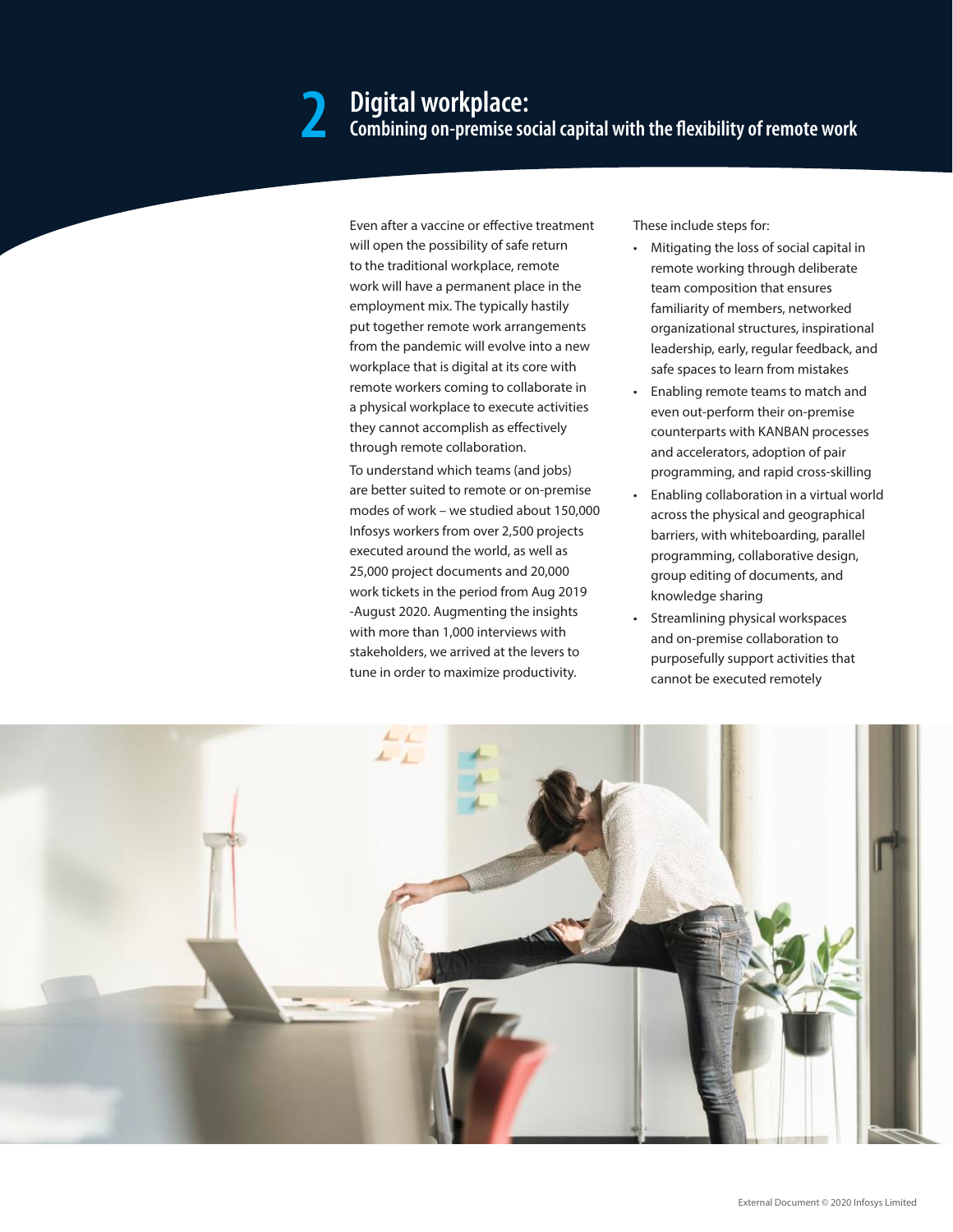### **Digital workplace: 2 Combining on-premise social capital with the flexibility of remote work**

Even after a vaccine or effective treatment will open the possibility of safe return to the traditional workplace, remote work will have a permanent place in the employment mix. The typically hastily put together remote work arrangements from the pandemic will evolve into a new workplace that is digital at its core with remote workers coming to collaborate in a physical workplace to execute activities they cannot accomplish as effectively through remote collaboration.

To understand which teams (and jobs) are better suited to remote or on-premise modes of work – we studied about 150,000 Infosys workers from over 2,500 projects executed around the world, as well as 25,000 project documents and 20,000 work tickets in the period from Aug 2019 -August 2020. Augmenting the insights with more than 1,000 interviews with stakeholders, we arrived at the levers to tune in order to maximize productivity.

These include steps for:

- Mitigating the loss of social capital in remote working through deliberate team composition that ensures familiarity of members, networked organizational structures, inspirational leadership, early, regular feedback, and safe spaces to learn from mistakes
- Enabling remote teams to match and even out-perform their on-premise counterparts with KANBAN processes and accelerators, adoption of pair programming, and rapid cross-skilling
- Enabling collaboration in a virtual world across the physical and geographical barriers, with whiteboarding, parallel programming, collaborative design, group editing of documents, and knowledge sharing
- Streamlining physical workspaces and on-premise collaboration to purposefully support activities that cannot be executed remotely

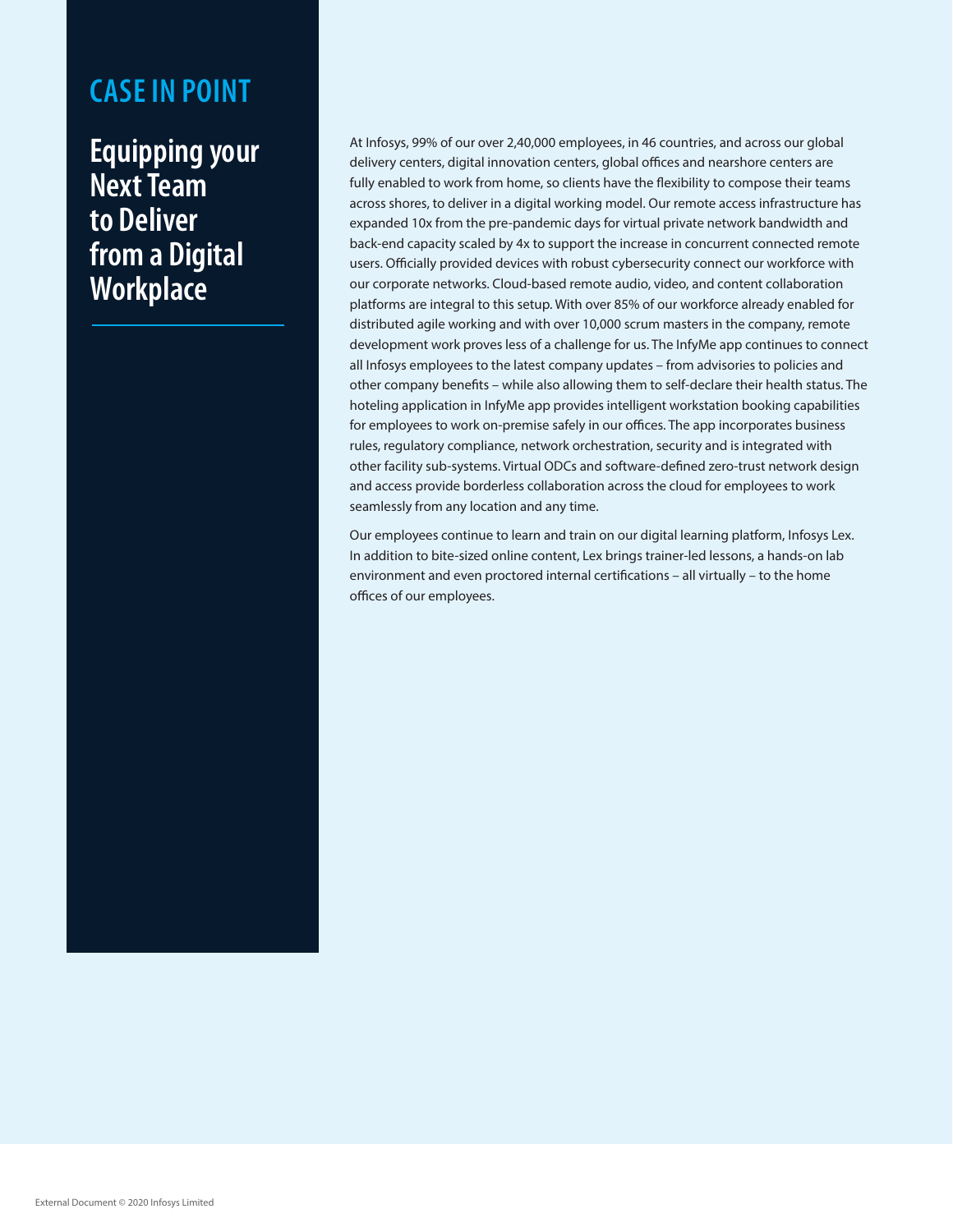**Equipping your Next Team to Deliver from a Digital Workplace**

At Infosys, 99% of our over 2,40,000 employees, in 46 countries, and across our global delivery centers, digital innovation centers, global offices and nearshore centers are fully enabled to work from home, so clients have the flexibility to compose their teams across shores, to deliver in a digital working model. Our remote access infrastructure has expanded 10x from the pre-pandemic days for virtual private network bandwidth and back-end capacity scaled by 4x to support the increase in concurrent connected remote users. Officially provided devices with robust cybersecurity connect our workforce with our corporate networks. Cloud-based remote audio, video, and content collaboration platforms are integral to this setup. With over 85% of our workforce already enabled for distributed agile working and with over 10,000 scrum masters in the company, remote development work proves less of a challenge for us. The InfyMe app continues to connect all Infosys employees to the latest company updates – from advisories to policies and other company benefits – while also allowing them to self-declare their health status. The hoteling application in InfyMe app provides intelligent workstation booking capabilities for employees to work on-premise safely in our offices. The app incorporates business rules, regulatory compliance, network orchestration, security and is integrated with other facility sub-systems. Virtual ODCs and software-defined zero-trust network design and access provide borderless collaboration across the cloud for employees to work seamlessly from any location and any time.

Our employees continue to learn and train on our digital learning platform, Infosys Lex. In addition to bite-sized online content, Lex brings trainer-led lessons, a hands-on lab environment and even proctored internal certifications – all virtually – to the home offices of our employees.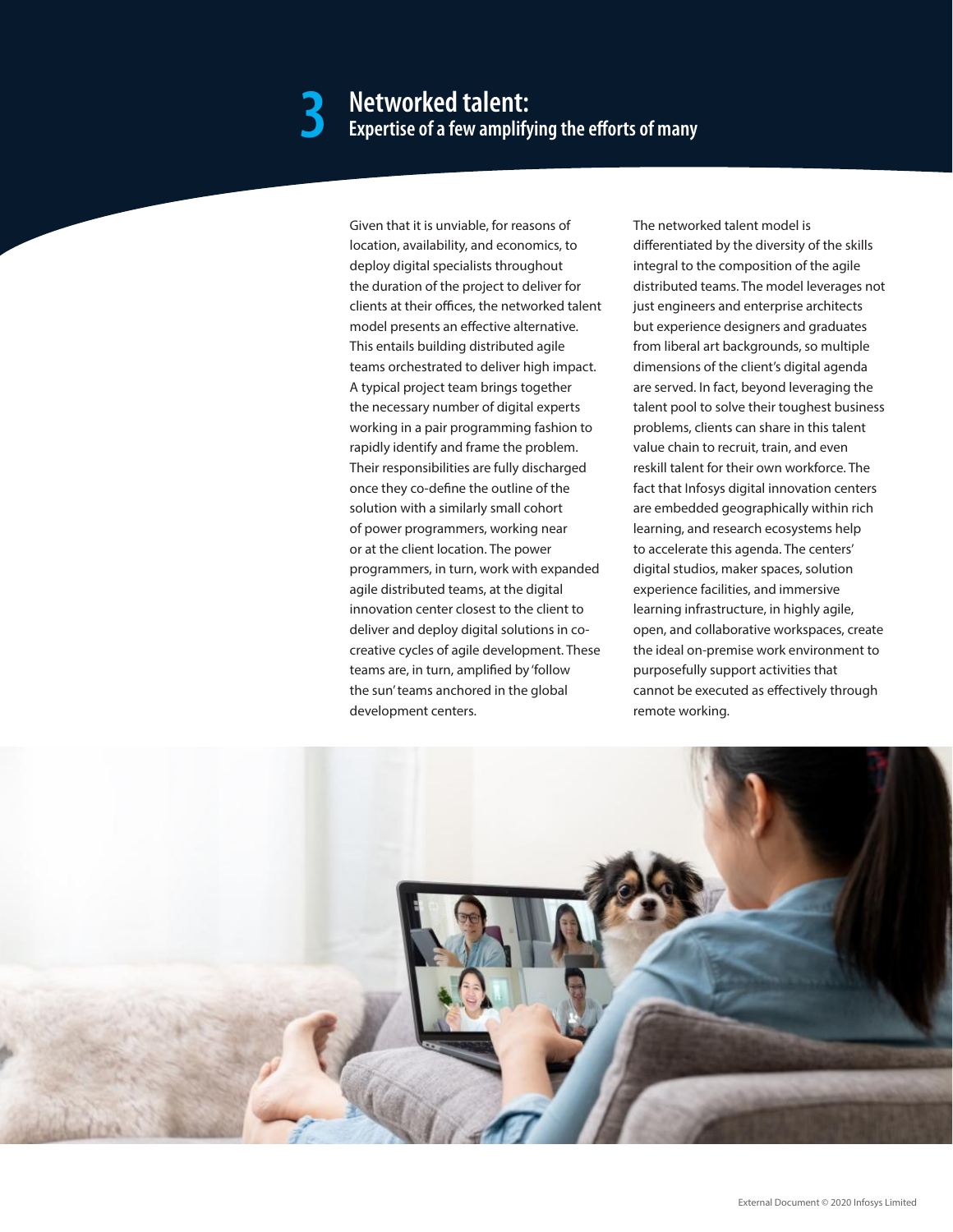# **Networked talent: 3 Expert Experts of many** expertise of a few amplifying the efforts of many

Given that it is unviable, for reasons of location, availability, and economics, to deploy digital specialists throughout the duration of the project to deliver for clients at their offices, the networked talent model presents an effective alternative. This entails building distributed agile teams orchestrated to deliver high impact. A typical project team brings together the necessary number of digital experts working in a pair programming fashion to rapidly identify and frame the problem. Their responsibilities are fully discharged once they co-define the outline of the solution with a similarly small cohort of power programmers, working near or at the client location. The power programmers, in turn, work with expanded agile distributed teams, at the digital innovation center closest to the client to deliver and deploy digital solutions in cocreative cycles of agile development. These teams are, in turn, amplified by 'follow the sun' teams anchored in the global development centers.

The networked talent model is differentiated by the diversity of the skills integral to the composition of the agile distributed teams. The model leverages not just engineers and enterprise architects but experience designers and graduates from liberal art backgrounds, so multiple dimensions of the client's digital agenda are served. In fact, beyond leveraging the talent pool to solve their toughest business problems, clients can share in this talent value chain to recruit, train, and even reskill talent for their own workforce. The fact that Infosys digital innovation centers are embedded geographically within rich learning, and research ecosystems help to accelerate this agenda. The centers' digital studios, maker spaces, solution experience facilities, and immersive learning infrastructure, in highly agile, open, and collaborative workspaces, create the ideal on-premise work environment to purposefully support activities that cannot be executed as effectively through remote working.

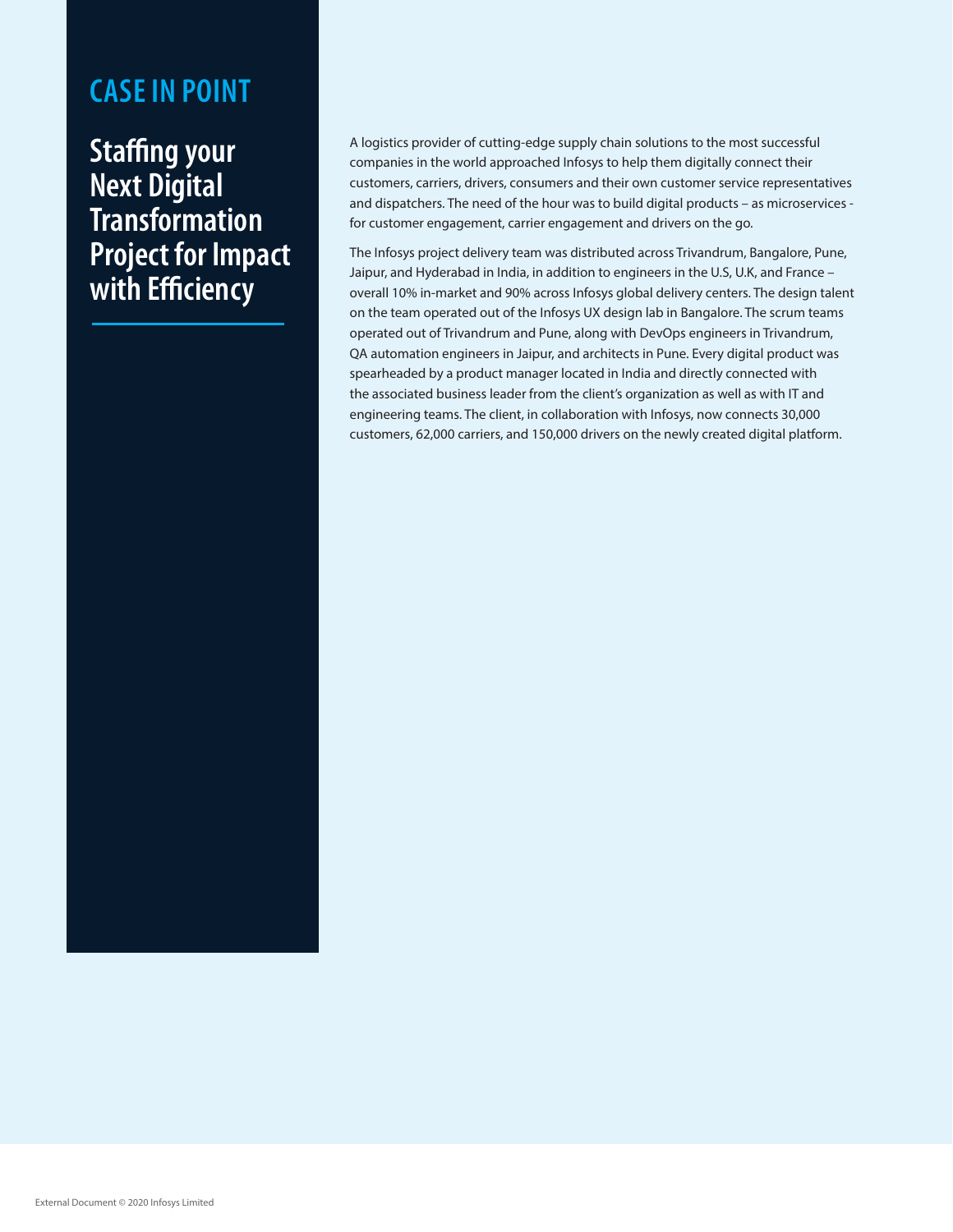**Staffing your Next Digital Transformation Project for Impact with Efficiency**

A logistics provider of cutting-edge supply chain solutions to the most successful companies in the world approached Infosys to help them digitally connect their customers, carriers, drivers, consumers and their own customer service representatives and dispatchers. The need of the hour was to build digital products – as microservices for customer engagement, carrier engagement and drivers on the go.

The Infosys project delivery team was distributed across Trivandrum, Bangalore, Pune, Jaipur, and Hyderabad in India, in addition to engineers in the U.S, U.K, and France – overall 10% in-market and 90% across Infosys global delivery centers. The design talent on the team operated out of the Infosys UX design lab in Bangalore. The scrum teams operated out of Trivandrum and Pune, along with DevOps engineers in Trivandrum, QA automation engineers in Jaipur, and architects in Pune. Every digital product was spearheaded by a product manager located in India and directly connected with the associated business leader from the client's organization as well as with IT and engineering teams. The client, in collaboration with Infosys, now connects 30,000 customers, 62,000 carriers, and 150,000 drivers on the newly created digital platform.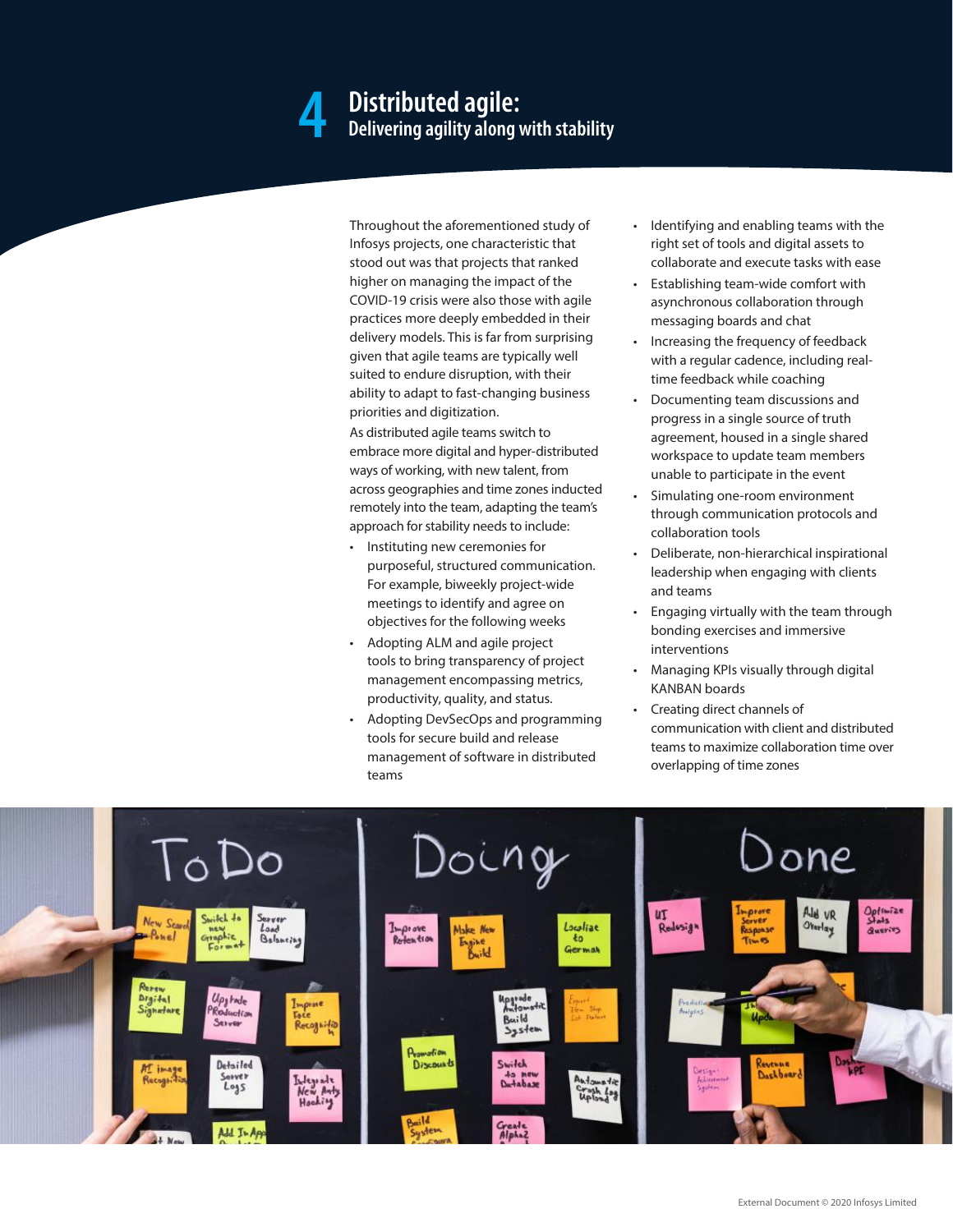### **Distributed agile: 4 Delivering agility along with stability**

Throughout the aforementioned study of Infosys projects, one characteristic that stood out was that projects that ranked higher on managing the impact of the COVID-19 crisis were also those with agile practices more deeply embedded in their delivery models. This is far from surprising given that agile teams are typically well suited to endure disruption, with their ability to adapt to fast-changing business priorities and digitization.

As distributed agile teams switch to embrace more digital and hyper-distributed ways of working, with new talent, from across geographies and time zones inducted remotely into the team, adapting the team's approach for stability needs to include:

- • Instituting new ceremonies for purposeful, structured communication. For example, biweekly project-wide meetings to identify and agree on objectives for the following weeks
- • Adopting ALM and agile project tools to bring transparency of project management encompassing metrics, productivity, quality, and status.
- Adopting DevSecOps and programming tools for secure build and release management of software in distributed teams
- • Identifying and enabling teams with the right set of tools and digital assets to collaborate and execute tasks with ease
- • Establishing team-wide comfort with asynchronous collaboration through messaging boards and chat
- • Increasing the frequency of feedback with a regular cadence, including realtime feedback while coaching
- Documenting team discussions and progress in a single source of truth agreement, housed in a single shared workspace to update team members unable to participate in the event
- Simulating one-room environment through communication protocols and collaboration tools
- Deliberate, non-hierarchical inspirational leadership when engaging with clients and teams
- Engaging virtually with the team through bonding exercises and immersive interventions
- Managing KPIs visually through digital KANBAN boards
- Creating direct channels of communication with client and distributed teams to maximize collaboration time over overlapping of time zones

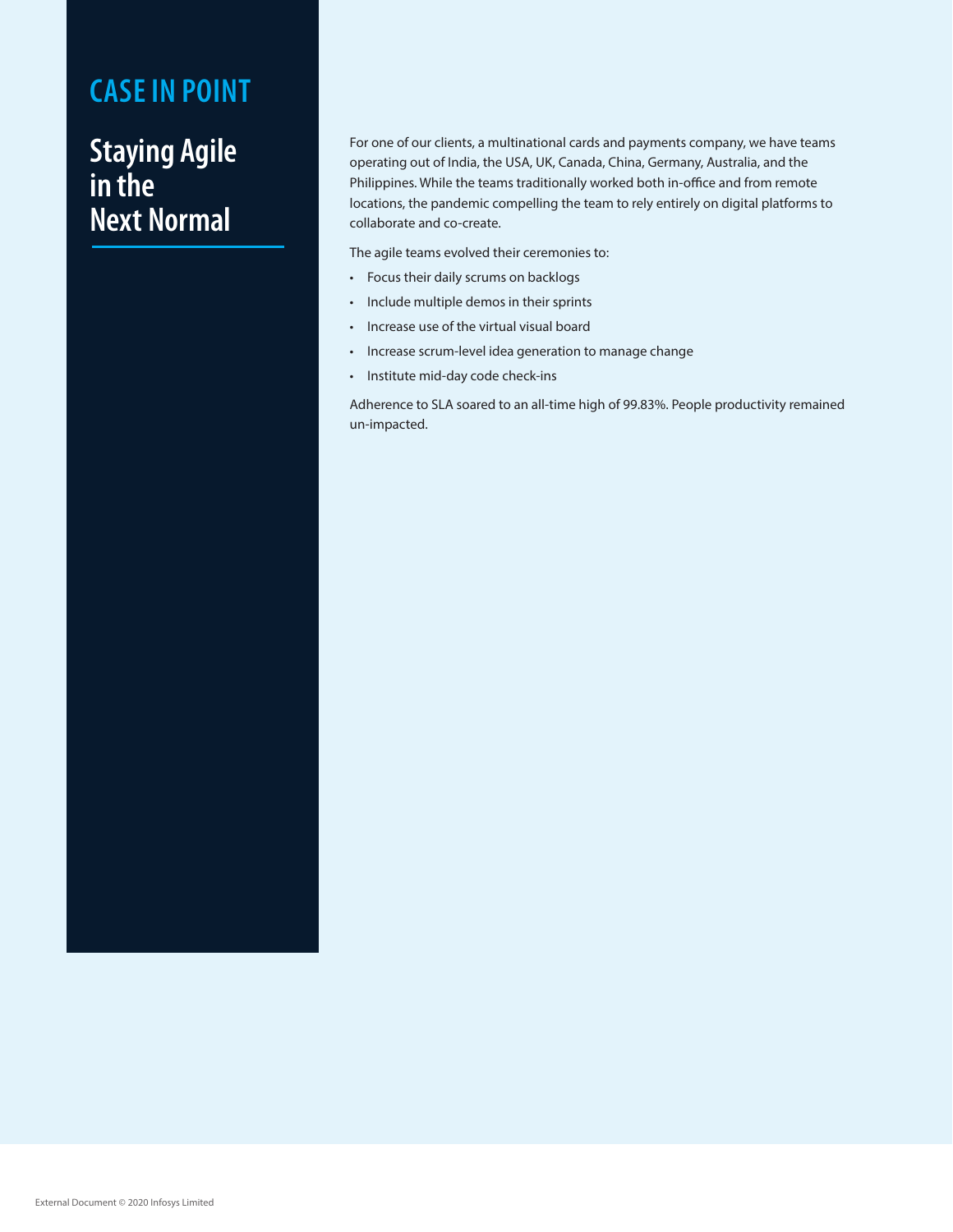### **Staying Agile in the Next Normal**

For one of our clients, a multinational cards and payments company, we have teams operating out of India, the USA, UK, Canada, China, Germany, Australia, and the Philippines. While the teams traditionally worked both in-office and from remote locations, the pandemic compelling the team to rely entirely on digital platforms to collaborate and co-create.

The agile teams evolved their ceremonies to:

- • Focus their daily scrums on backlogs
- • Include multiple demos in their sprints
- • Increase use of the virtual visual board
- • Increase scrum-level idea generation to manage change
- • Institute mid-day code check-ins

Adherence to SLA soared to an all-time high of 99.83%. People productivity remained un-impacted.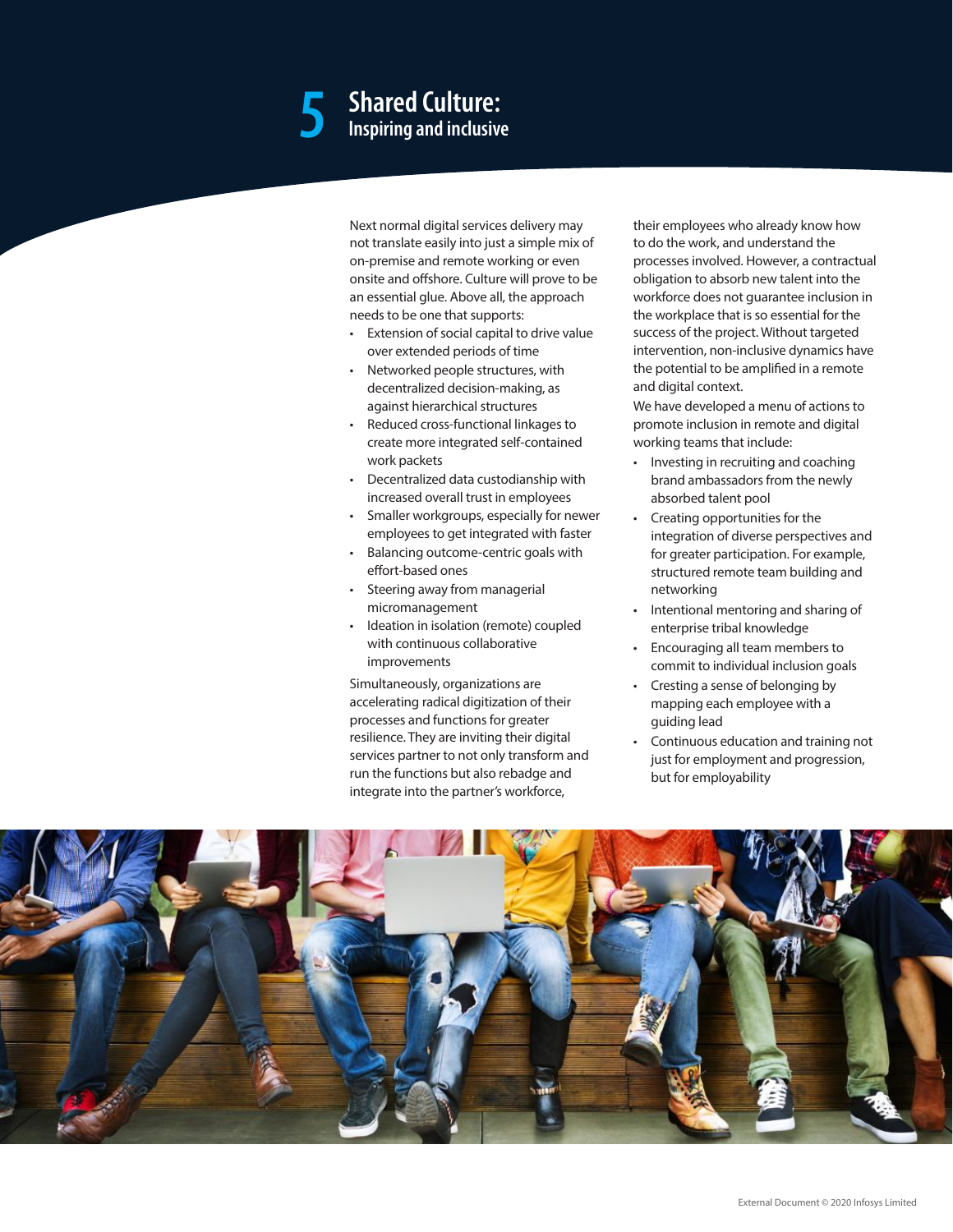## **Shared Culture: 5 Inspiring and inclusive**

Next normal digital services delivery may not translate easily into just a simple mix of on-premise and remote working or even onsite and offshore. Culture will prove to be an essential glue. Above all, the approach needs to be one that supports:

- Extension of social capital to drive value over extended periods of time
- • Networked people structures, with decentralized decision-making, as against hierarchical structures
- Reduced cross-functional linkages to create more integrated self-contained work packets
- • Decentralized data custodianship with increased overall trust in employees
- • Smaller workgroups, especially for newer employees to get integrated with faster
- • Balancing outcome-centric goals with effort-based ones
- Steering away from managerial micromanagement
- • Ideation in isolation (remote) coupled with continuous collaborative improvements

Simultaneously, organizations are accelerating radical digitization of their processes and functions for greater resilience. They are inviting their digital services partner to not only transform and run the functions but also rebadge and integrate into the partner's workforce,

their employees who already know how to do the work, and understand the processes involved. However, a contractual obligation to absorb new talent into the workforce does not guarantee inclusion in the workplace that is so essential for the success of the project. Without targeted intervention, non-inclusive dynamics have the potential to be amplified in a remote and digital context.

We have developed a menu of actions to promote inclusion in remote and digital working teams that include:

- • Investing in recruiting and coaching brand ambassadors from the newly absorbed talent pool
- $\cdot$  Creating opportunities for the integration of diverse perspectives and for greater participation. For example, structured remote team building and networking
- Intentional mentoring and sharing of enterprise tribal knowledge
- Encouraging all team members to commit to individual inclusion goals
- Cresting a sense of belonging by mapping each employee with a guiding lead
- Continuous education and training not just for employment and progression, but for employability